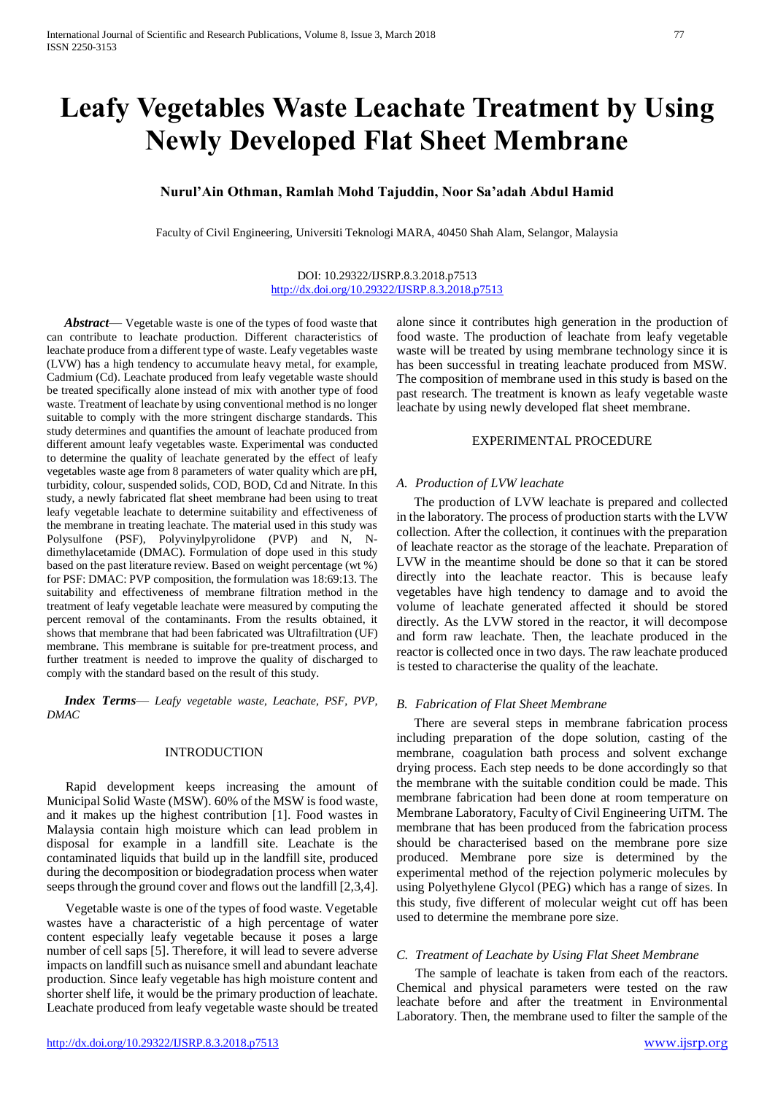# **Leafy Vegetables Waste Leachate Treatment by Using Newly Developed Flat Sheet Membrane**

# **Nurul'Ain Othman, Ramlah Mohd Tajuddin, Noor Sa'adah Abdul Hamid**

Faculty of Civil Engineering, Universiti Teknologi MARA, 40450 Shah Alam, Selangor, Malaysia

### DOI: 10.29322/IJSRP.8.3.2018.p7513 <http://dx.doi.org/10.29322/IJSRP.8.3.2018.p7513>

*Abstract*— Vegetable waste is one of the types of food waste that can contribute to leachate production. Different characteristics of leachate produce from a different type of waste. Leafy vegetables waste (LVW) has a high tendency to accumulate heavy metal, for example, Cadmium (Cd). Leachate produced from leafy vegetable waste should be treated specifically alone instead of mix with another type of food waste. Treatment of leachate by using conventional method is no longer suitable to comply with the more stringent discharge standards. This study determines and quantifies the amount of leachate produced from different amount leafy vegetables waste. Experimental was conducted to determine the quality of leachate generated by the effect of leafy vegetables waste age from 8 parameters of water quality which are pH, turbidity, colour, suspended solids, COD, BOD, Cd and Nitrate. In this study, a newly fabricated flat sheet membrane had been using to treat leafy vegetable leachate to determine suitability and effectiveness of the membrane in treating leachate. The material used in this study was Polysulfone (PSF), Polyvinylpyrolidone (PVP) and N, Ndimethylacetamide (DMAC). Formulation of dope used in this study based on the past literature review. Based on weight percentage (wt %) for PSF: DMAC: PVP composition, the formulation was 18:69:13. The suitability and effectiveness of membrane filtration method in the treatment of leafy vegetable leachate were measured by computing the percent removal of the contaminants. From the results obtained, it shows that membrane that had been fabricated was Ultrafiltration (UF) membrane. This membrane is suitable for pre-treatment process, and further treatment is needed to improve the quality of discharged to comply with the standard based on the result of this study.

*Index Terms*— *Leafy vegetable waste, Leachate, PSF, PVP, DMAC*

## INTRODUCTION

Rapid development keeps increasing the amount of Municipal Solid Waste (MSW). 60% of the MSW is food waste, and it makes up the highest contribution [1]. Food wastes in Malaysia contain high moisture which can lead problem in disposal for example in a landfill site. Leachate is the contaminated liquids that build up in the landfill site, produced during the decomposition or biodegradation process when water seeps through the ground cover and flows out the landfill [2,3,4].

Vegetable waste is one of the types of food waste. Vegetable wastes have a characteristic of a high percentage of water content especially leafy vegetable because it poses a large number of cell saps [5]. Therefore, it will lead to severe adverse impacts on landfill such as nuisance smell and abundant leachate production. Since leafy vegetable has high moisture content and shorter shelf life, it would be the primary production of leachate. Leachate produced from leafy vegetable waste should be treated

alone since it contributes high generation in the production of food waste. The production of leachate from leafy vegetable waste will be treated by using membrane technology since it is has been successful in treating leachate produced from MSW. The composition of membrane used in this study is based on the past research. The treatment is known as leafy vegetable waste leachate by using newly developed flat sheet membrane.

#### EXPERIMENTAL PROCEDURE

#### *A. Production of LVW leachate*

The production of LVW leachate is prepared and collected in the laboratory. The process of production starts with the LVW collection. After the collection, it continues with the preparation of leachate reactor as the storage of the leachate. Preparation of LVW in the meantime should be done so that it can be stored directly into the leachate reactor. This is because leafy vegetables have high tendency to damage and to avoid the volume of leachate generated affected it should be stored directly. As the LVW stored in the reactor, it will decompose and form raw leachate. Then, the leachate produced in the reactor is collected once in two days. The raw leachate produced is tested to characterise the quality of the leachate.

#### *B. Fabrication of Flat Sheet Membrane*

There are several steps in membrane fabrication process including preparation of the dope solution, casting of the membrane, coagulation bath process and solvent exchange drying process. Each step needs to be done accordingly so that the membrane with the suitable condition could be made. This membrane fabrication had been done at room temperature on Membrane Laboratory, Faculty of Civil Engineering UiTM. The membrane that has been produced from the fabrication process should be characterised based on the membrane pore size produced. Membrane pore size is determined by the experimental method of the rejection polymeric molecules by using Polyethylene Glycol (PEG) which has a range of sizes. In this study, five different of molecular weight cut off has been used to determine the membrane pore size.

#### *C. Treatment of Leachate by Using Flat Sheet Membrane*

The sample of leachate is taken from each of the reactors. Chemical and physical parameters were tested on the raw leachate before and after the treatment in Environmental Laboratory. Then, the membrane used to filter the sample of the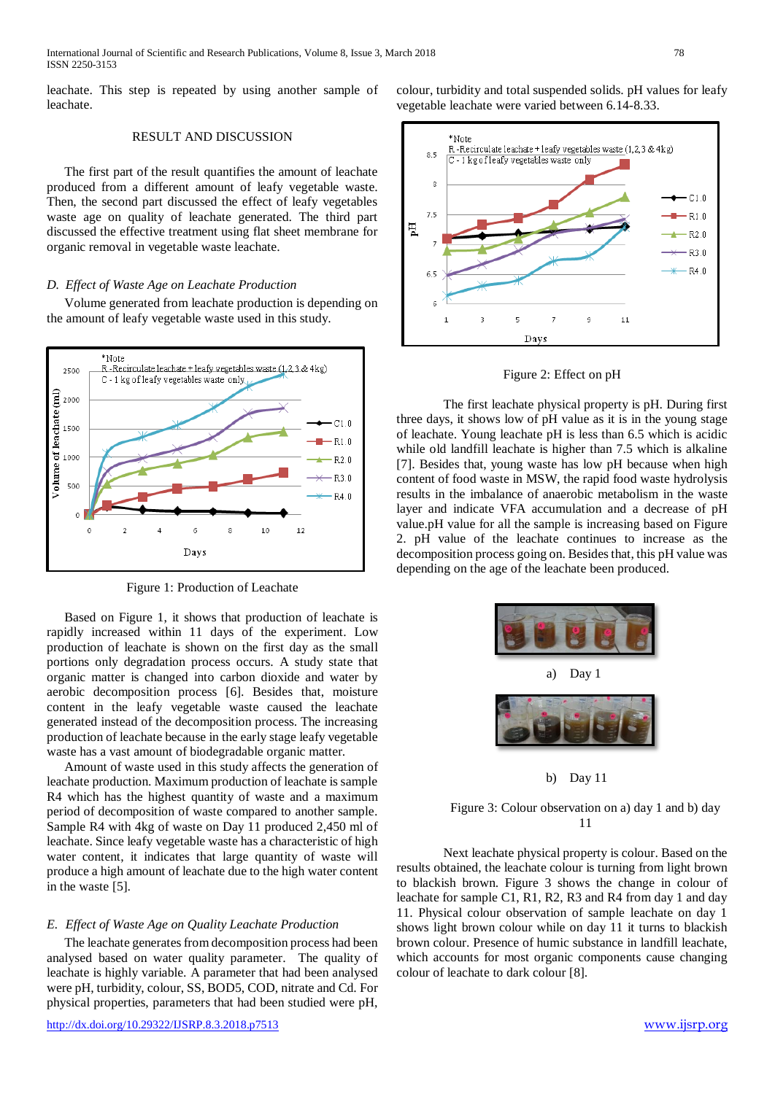leachate. This step is repeated by using another sample of leachate.

# RESULT AND DISCUSSION

The first part of the result quantifies the amount of leachate produced from a different amount of leafy vegetable waste. Then, the second part discussed the effect of leafy vegetables waste age on quality of leachate generated. The third part discussed the effective treatment using flat sheet membrane for organic removal in vegetable waste leachate.

### *D. Effect of Waste Age on Leachate Production*

Volume generated from leachate production is depending on the amount of leafy vegetable waste used in this study.



Figure 1: Production of Leachate

Based on Figure 1, it shows that production of leachate is rapidly increased within 11 days of the experiment. Low production of leachate is shown on the first day as the small portions only degradation process occurs. A study state that organic matter is changed into carbon dioxide and water by aerobic decomposition process [6]. Besides that, moisture content in the leafy vegetable waste caused the leachate generated instead of the decomposition process. The increasing production of leachate because in the early stage leafy vegetable waste has a vast amount of biodegradable organic matter.

Amount of waste used in this study affects the generation of leachate production. Maximum production of leachate is sample R4 which has the highest quantity of waste and a maximum period of decomposition of waste compared to another sample. Sample R4 with 4kg of waste on Day 11 produced 2,450 ml of leachate. Since leafy vegetable waste has a characteristic of high water content, it indicates that large quantity of waste will produce a high amount of leachate due to the high water content in the waste [5].

#### *E. Effect of Waste Age on Quality Leachate Production*

The leachate generates from decomposition process had been analysed based on water quality parameter. The quality of leachate is highly variable. A parameter that had been analysed were pH, turbidity, colour, SS, BOD5, COD, nitrate and Cd. For physical properties, parameters that had been studied were pH, colour, turbidity and total suspended solids. pH values for leafy vegetable leachate were varied between 6.14-8.33.



Figure 2: Effect on pH

The first leachate physical property is pH. During first three days, it shows low of pH value as it is in the young stage of leachate. Young leachate pH is less than 6.5 which is acidic while old landfill leachate is higher than 7.5 which is alkaline [7]. Besides that, young waste has low pH because when high content of food waste in MSW, the rapid food waste hydrolysis results in the imbalance of anaerobic metabolism in the waste layer and indicate VFA accumulation and a decrease of pH value.pH value for all the sample is increasing based on Figure 2. pH value of the leachate continues to increase as the decomposition process going on. Besides that, this pH value was depending on the age of the leachate been produced.



b) Day 11

## Figure 3: Colour observation on a) day 1 and b) day 11

Next leachate physical property is colour. Based on the results obtained, the leachate colour is turning from light brown to blackish brown. Figure 3 shows the change in colour of leachate for sample C1, R1, R2, R3 and R4 from day 1 and day 11. Physical colour observation of sample leachate on day 1 shows light brown colour while on day 11 it turns to blackish brown colour. Presence of humic substance in landfill leachate, which accounts for most organic components cause changing colour of leachate to dark colour [8].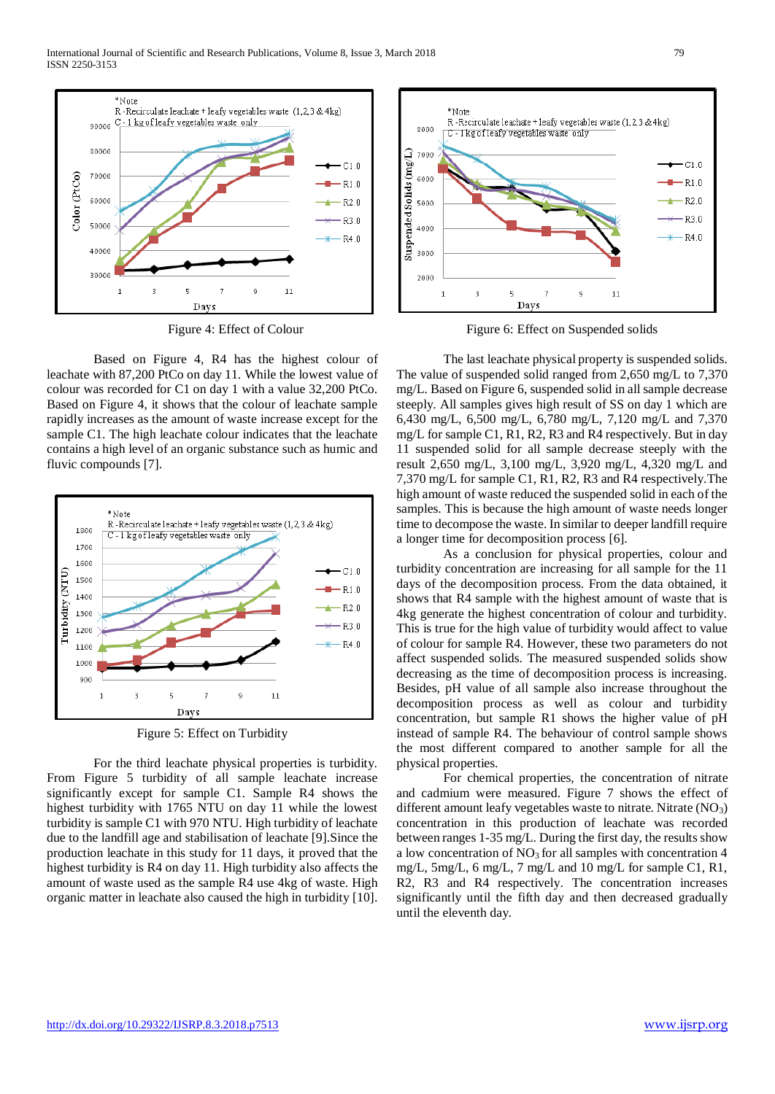

Figure 4: Effect of Colour

Based on Figure 4, R4 has the highest colour of leachate with 87,200 PtCo on day 11. While the lowest value of colour was recorded for C1 on day 1 with a value 32,200 PtCo. Based on Figure 4, it shows that the colour of leachate sample rapidly increases as the amount of waste increase except for the sample C1. The high leachate colour indicates that the leachate contains a high level of an organic substance such as humic and fluvic compounds [7].



Figure 5: Effect on Turbidity

For the third leachate physical properties is turbidity. From Figure 5 turbidity of all sample leachate increase significantly except for sample C1. Sample R4 shows the highest turbidity with 1765 NTU on day 11 while the lowest turbidity is sample C1 with 970 NTU. High turbidity of leachate due to the landfill age and stabilisation of leachate [9].Since the production leachate in this study for 11 days, it proved that the highest turbidity is R4 on day 11. High turbidity also affects the amount of waste used as the sample R4 use 4kg of waste. High organic matter in leachate also caused the high in turbidity [10].



Figure 6: Effect on Suspended solids

The last leachate physical property is suspended solids. The value of suspended solid ranged from 2,650 mg/L to 7,370 mg/L. Based on Figure 6, suspended solid in all sample decrease steeply. All samples gives high result of SS on day 1 which are 6,430 mg/L, 6,500 mg/L, 6,780 mg/L, 7,120 mg/L and 7,370 mg/L for sample C1, R1, R2, R3 and R4 respectively. But in day 11 suspended solid for all sample decrease steeply with the result 2,650 mg/L, 3,100 mg/L, 3,920 mg/L, 4,320 mg/L and 7,370 mg/L for sample C1, R1, R2, R3 and R4 respectively.The high amount of waste reduced the suspended solid in each of the samples. This is because the high amount of waste needs longer time to decompose the waste. In similar to deeper landfill require a longer time for decomposition process [6].

As a conclusion for physical properties, colour and turbidity concentration are increasing for all sample for the 11 days of the decomposition process. From the data obtained, it shows that R4 sample with the highest amount of waste that is 4kg generate the highest concentration of colour and turbidity. This is true for the high value of turbidity would affect to value of colour for sample R4. However, these two parameters do not affect suspended solids. The measured suspended solids show decreasing as the time of decomposition process is increasing. Besides, pH value of all sample also increase throughout the decomposition process as well as colour and turbidity concentration, but sample R1 shows the higher value of pH instead of sample R4. The behaviour of control sample shows the most different compared to another sample for all the physical properties.

For chemical properties, the concentration of nitrate and cadmium were measured. Figure 7 shows the effect of different amount leafy vegetables waste to nitrate. Nitrate (NO<sub>3</sub>) concentration in this production of leachate was recorded between ranges 1-35 mg/L. During the first day, the results show a low concentration of  $NO<sub>3</sub>$  for all samples with concentration 4 mg/L, 5mg/L, 6 mg/L, 7 mg/L and 10 mg/L for sample C1, R1, R2, R3 and R4 respectively. The concentration increases significantly until the fifth day and then decreased gradually until the eleventh day.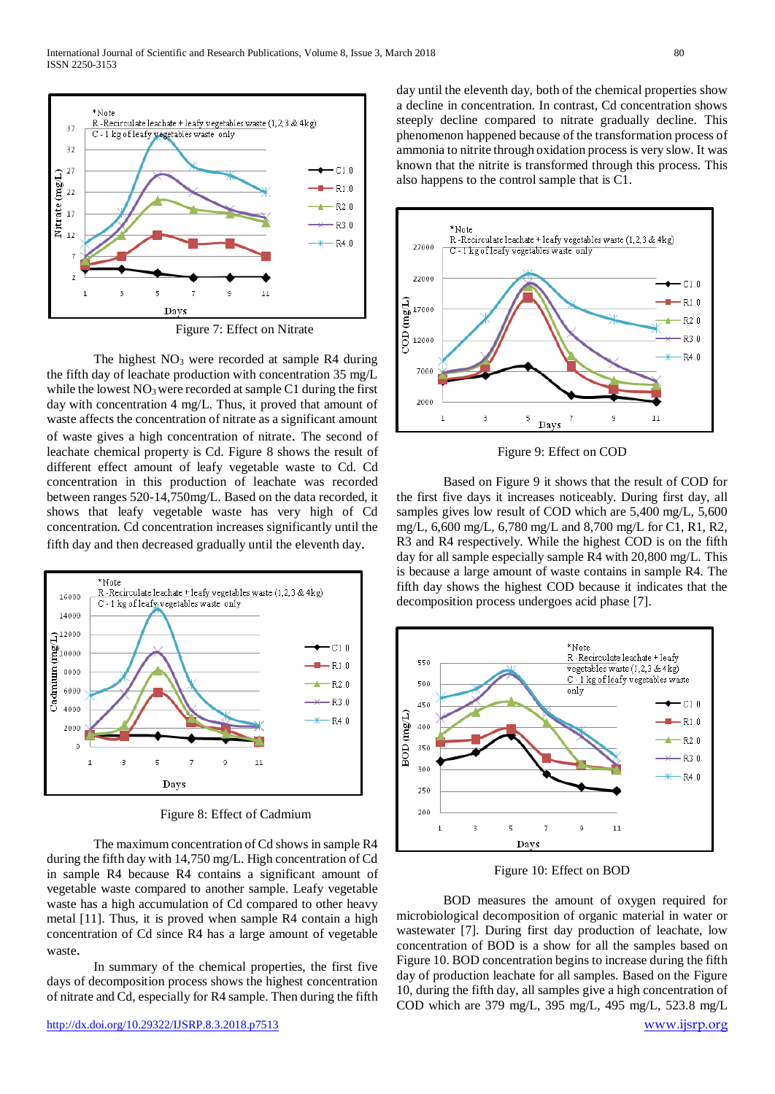

Figure 7: Effect on Nitrate

The highest  $NO<sub>3</sub>$  were recorded at sample R4 during the fifth day of leachate production with concentration 35 mg/L while the lowest  $NO<sub>3</sub>$  were recorded at sample C1 during the first day with concentration 4 mg/L. Thus, it proved that amount of waste affects the concentration of nitrate as a significant amount of waste gives a high concentration of nitrate. The second of leachate chemical property is Cd. Figure 8 shows the result of different effect amount of leafy vegetable waste to Cd. Cd concentration in this production of leachate was recorded between ranges 520-14,750mg/L. Based on the data recorded, it shows that leafy vegetable waste has very high of Cd concentration. Cd concentration increases significantly until the fifth day and then decreased gradually until the eleventh day.



Figure 8: Effect of Cadmium

The maximum concentration of Cd shows in sample R4 during the fifth day with 14,750 mg/L. High concentration of Cd in sample R4 because R4 contains a significant amount of vegetable waste compared to another sample. Leafy vegetable waste has a high accumulation of Cd compared to other heavy metal [11]. Thus, it is proved when sample R4 contain a high concentration of Cd since R4 has a large amount of vegetable waste.

In summary of the chemical properties, the first five days of decomposition process shows the highest concentration of nitrate and Cd, especially for R4 sample. Then during the fifth day until the eleventh day, both of the chemical properties show a decline in concentration. In contrast, Cd concentration shows steeply decline compared to nitrate gradually decline. This phenomenon happened because of the transformation process of ammonia to nitrite through oxidation process is very slow. It was known that the nitrite is transformed through this process. This also happens to the control sample that is C1.



Figure 9: Effect on COD

Based on Figure 9 it shows that the result of COD for the first five days it increases noticeably. During first day, all samples gives low result of COD which are 5,400 mg/L, 5,600 mg/L, 6,600 mg/L, 6,780 mg/L and 8,700 mg/L for C1, R1, R2, R3 and R4 respectively. While the highest COD is on the fifth day for all sample especially sample R4 with 20,800 mg/L. This is because a large amount of waste contains in sample R4. The fifth day shows the highest COD because it indicates that the decomposition process undergoes acid phase [7].



Figure 10: Effect on BOD

BOD measures the amount of oxygen required for microbiological decomposition of organic material in water or wastewater [7]. During first day production of leachate, low concentration of BOD is a show for all the samples based on Figure 10. BOD concentration begins to increase during the fifth day of production leachate for all samples. Based on the Figure 10, during the fifth day, all samples give a high concentration of COD which are 379 mg/L, 395 mg/L, 495 mg/L, 523.8 mg/L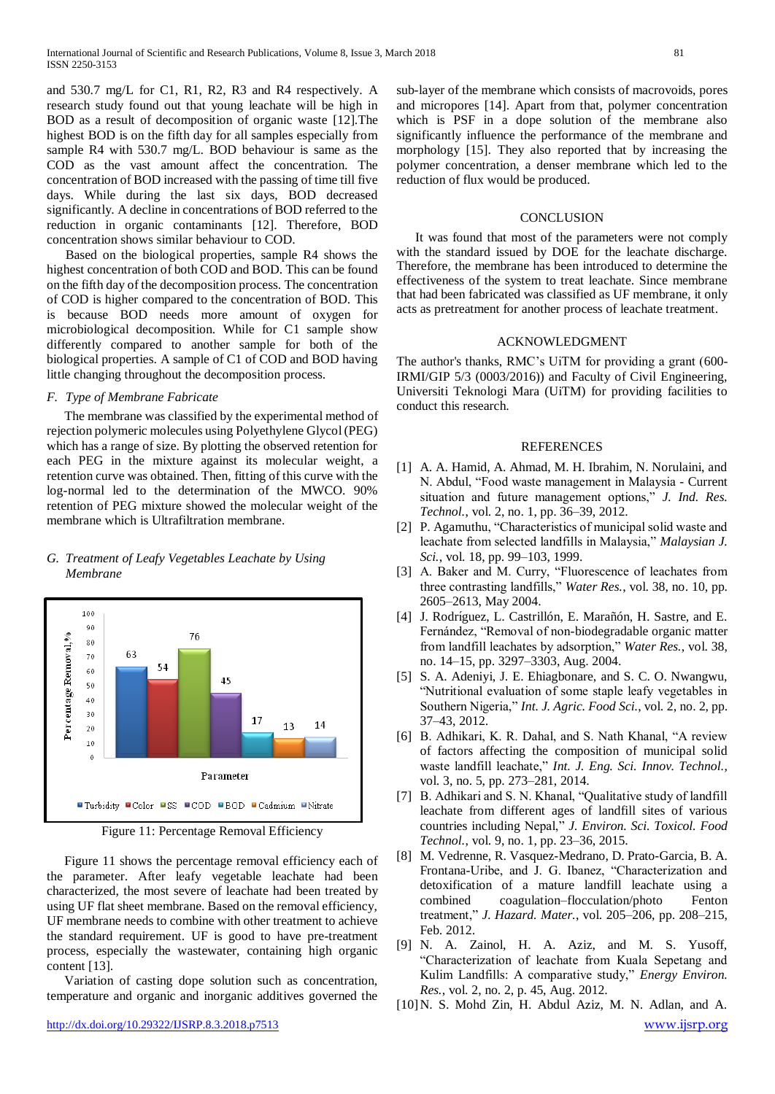and 530.7 mg/L for C1, R1, R2, R3 and R4 respectively. A research study found out that young leachate will be high in BOD as a result of decomposition of organic waste [12].The highest BOD is on the fifth day for all samples especially from sample R4 with 530.7 mg/L. BOD behaviour is same as the COD as the vast amount affect the concentration. The concentration of BOD increased with the passing of time till five days. While during the last six days, BOD decreased significantly. A decline in concentrations of BOD referred to the reduction in organic contaminants [12]. Therefore, BOD concentration shows similar behaviour to COD.

Based on the biological properties, sample R4 shows the highest concentration of both COD and BOD. This can be found on the fifth day of the decomposition process. The concentration of COD is higher compared to the concentration of BOD. This is because BOD needs more amount of oxygen for microbiological decomposition. While for C1 sample show differently compared to another sample for both of the biological properties. A sample of C1 of COD and BOD having little changing throughout the decomposition process.

## *F. Type of Membrane Fabricate*

The membrane was classified by the experimental method of rejection polymeric molecules using Polyethylene Glycol (PEG) which has a range of size. By plotting the observed retention for each PEG in the mixture against its molecular weight, a retention curve was obtained. Then, fitting of this curve with the log-normal led to the determination of the MWCO. 90% retention of PEG mixture showed the molecular weight of the membrane which is Ultrafiltration membrane.

# *G. Treatment of Leafy Vegetables Leachate by Using Membrane*



Figure 11: Percentage Removal Efficiency

Figure 11 shows the percentage removal efficiency each of the parameter. After leafy vegetable leachate had been characterized, the most severe of leachate had been treated by using UF flat sheet membrane. Based on the removal efficiency, UF membrane needs to combine with other treatment to achieve the standard requirement. UF is good to have pre-treatment process, especially the wastewater, containing high organic content [13].

Variation of casting dope solution such as concentration, temperature and organic and inorganic additives governed the

#### **CONCLUSION**

It was found that most of the parameters were not comply with the standard issued by DOE for the leachate discharge. Therefore, the membrane has been introduced to determine the effectiveness of the system to treat leachate. Since membrane that had been fabricated was classified as UF membrane, it only acts as pretreatment for another process of leachate treatment.

#### ACKNOWLEDGMENT

The author's thanks, RMC's UiTM for providing a grant (600- IRMI/GIP 5/3 (0003/2016)) and Faculty of Civil Engineering, Universiti Teknologi Mara (UiTM) for providing facilities to conduct this research.

#### REFERENCES

- [1] A. A. Hamid, A. Ahmad, M. H. Ibrahim, N. Norulaini, and N. Abdul, "Food waste management in Malaysia - Current situation and future management options," *J. Ind. Res. Technol.*, vol. 2, no. 1, pp. 36–39, 2012.
- [2] P. Agamuthu, "Characteristics of municipal solid waste and leachate from selected landfills in Malaysia," *Malaysian J. Sci.*, vol. 18, pp. 99–103, 1999.
- [3] A. Baker and M. Curry, "Fluorescence of leachates from three contrasting landfills," *Water Res.*, vol. 38, no. 10, pp. 2605–2613, May 2004.
- [4] J. Rodríguez, L. Castrillón, E. Marañón, H. Sastre, and E. Fernández, "Removal of non-biodegradable organic matter from landfill leachates by adsorption," *Water Res.*, vol. 38, no. 14–15, pp. 3297–3303, Aug. 2004.
- [5] S. A. Adeniyi, J. E. Ehiagbonare, and S. C. O. Nwangwu, "Nutritional evaluation of some staple leafy vegetables in Southern Nigeria," *Int. J. Agric. Food Sci.*, vol. 2, no. 2, pp. 37–43, 2012.
- [6] B. Adhikari, K. R. Dahal, and S. Nath Khanal, "A review of factors affecting the composition of municipal solid waste landfill leachate," *Int. J. Eng. Sci. Innov. Technol.*, vol. 3, no. 5, pp. 273–281, 2014.
- [7] B. Adhikari and S. N. Khanal, "Qualitative study of landfill leachate from different ages of landfill sites of various countries including Nepal," *J. Environ. Sci. Toxicol. Food Technol.*, vol. 9, no. 1, pp. 23–36, 2015.
- [8] M. Vedrenne, R. Vasquez-Medrano, D. Prato-Garcia, B. A. Frontana-Uribe, and J. G. Ibanez, "Characterization and detoxification of a mature landfill leachate using a combined coagulation–flocculation/photo Fenton treatment," *J. Hazard. Mater.*, vol. 205–206, pp. 208–215, Feb. 2012.
- [9] N. A. Zainol, H. A. Aziz, and M. S. Yusoff, "Characterization of leachate from Kuala Sepetang and Kulim Landfills: A comparative study," *Energy Environ. Res.*, vol. 2, no. 2, p. 45, Aug. 2012.
- <http://dx.doi.org/10.29322/IJSRP.8.3.2018.p7513> [www.ijsrp.org](http://ijsrp.org/) [10]N. S. Mohd Zin, H. Abdul Aziz, M. N. Adlan, and A.